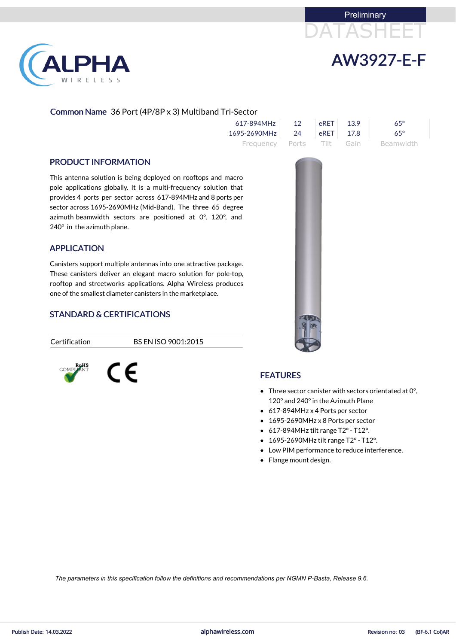



# LPHA RELESS

# Common Name 36 Port (4P/8P x 3) Multiband Tri-Sector

| $617 - 894$ MHz 12             | $RET$ 13.9 | $65^\circ$                          |
|--------------------------------|------------|-------------------------------------|
| $1695 - 2690$ MHz 24 eRET 17.8 |            | 65°                                 |
|                                |            | Frequency Ports Tilt Gain Beamwidth |

#### PRODUCT INFORMATION

This antenna solution is being deployed on rooftops and macro pole applications globally. It is a multi-frequency solution that provides 4 ports per sector across 617-894MHz and 8 ports per sector across 1695-2690MHz (Mid-Band). The three 65 degree azimuth beamwidth sectors are positioned at 0°, 120°, and 240° in the azimuth plane.

# APPLICATION

Canisters support multiple antennas into one attractive package. These canisters deliver an elegant macro solution for pole-top, rooftop and streetworks applications. Alpha Wireless produces one of the smallest diameter canisters in the marketplace.

# STANDARD & CERTIFICATIONS

CE

Certification BS EN ISO 9001:2015



#### FEATURES

- Three sector canister with sectors orientated at 0°, 120° and 240°in the Azimuth Plane
- 617-894MHz x 4 Ports per sector
- 1695-2690MHz x 8 Ports per sector
- $\bullet$  617-894MHz tilt range T2° T12°.
- 1695-2690MHz tilt range T2° T12°.
- Low PIM performance to reduce interference.
- Flange mount design.

*The parameters in this specification follow the definitions and recommendations per NGMN P-Basta, Release 9.6.*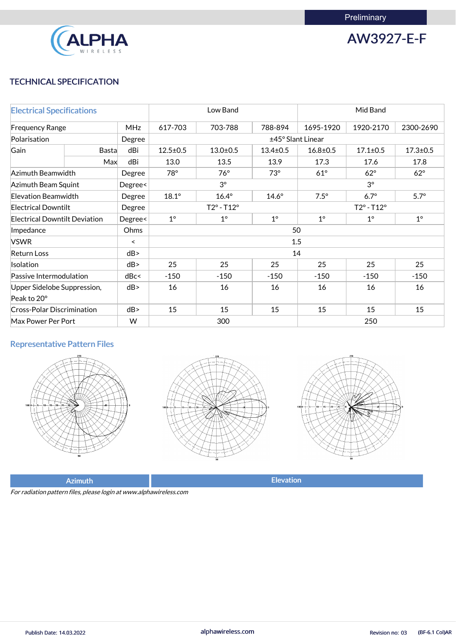

AW3927-E-F

# TECHNICAL SPECIFICATION

| <b>Electrical Specifications</b>                |              |         | Low Band                   |              |                | Mid Band                   |                |                |
|-------------------------------------------------|--------------|---------|----------------------------|--------------|----------------|----------------------------|----------------|----------------|
| <b>MHz</b><br><b>Frequency Range</b>            |              |         | 617-703                    | 703-788      | 788-894        | 1695-1920                  | 1920-2170      | 2300-2690      |
| Polarisation                                    |              | Degree  | ±45° Slant Linear          |              |                |                            |                |                |
| Gain                                            | <b>Basta</b> | dBi     | $12.5 \pm 0.5$             | $13.0 + 0.5$ | $13.4 \pm 0.5$ | $16.8 + 0.5$               | $17.1 \pm 0.5$ | $17.3 \pm 0.5$ |
|                                                 | Max          | dBi     | 13.0                       | 13.5         | 13.9           | 17.3                       | 17.6           | 17.8           |
| Azimuth Beamwidth                               |              | Degree  | 78°                        | $76^\circ$   | $73^\circ$     | $61^\circ$                 | $62^\circ$     | $62^\circ$     |
| <b>Azimuth Beam Squint</b>                      |              | Degree< | $3^{\circ}$                |              |                | $3^\circ$                  |                |                |
| <b>Elevation Beamwidth</b>                      |              | Degree  | $18.1^\circ$               | $16.4^\circ$ | $14.6^\circ$   | $7.5^\circ$                | $6.7^\circ$    | $5.7^\circ$    |
| <b>Electrical Downtilt</b>                      |              | Degree  | $T2^{\circ} - T12^{\circ}$ |              |                | $T2^{\circ} - T12^{\circ}$ |                |                |
| <b>Electrical Downtilt Deviation</b><br>Degree< |              |         | $1^{\circ}$                | $1^\circ$    | $1^\circ$      | $1^{\circ}$                | $1^{\circ}$    | $1^{\circ}$    |
| Impedance                                       |              | Ohms    | 50                         |              |                |                            |                |                |
| <b>VSWR</b>                                     |              | $\prec$ |                            |              |                | 1.5                        |                |                |
| <b>Return Loss</b>                              |              | dB      |                            |              |                | 14                         |                |                |
| Isolation                                       |              | dB      | 25                         | 25           | 25             | 25                         | 25             | 25             |
| Passive Intermodulation                         |              | dBc<    | $-150$                     | $-150$       | $-150$         | $-150$                     | $-150$         | $-150$         |
| Upper Sidelobe Suppression,                     |              | dB      | 16                         | 16           | 16             | 16                         | 16             | 16             |
| Peak to 20°                                     |              |         |                            |              |                |                            |                |                |
| <b>Cross-Polar Discrimination</b>               |              | dB      | 15                         | 15           | 15             | 15                         | 15             | 15             |
| W<br>Max Power Per Port                         |              |         | 300                        |              |                | 250                        |                |                |

# Representative Pattern Files







Azimuth **Elevation** 

For radiation pattern files, please login at www.alphawireless.com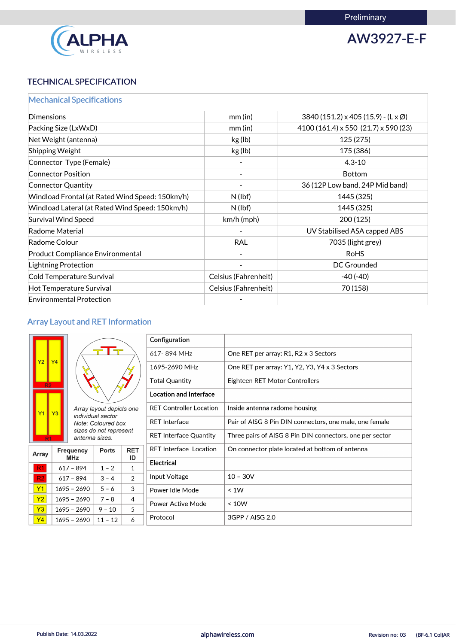

AW3927-E-F

# TECHNICAL SPECIFICATION

|  |  |  | <b>Mechanical Specifications</b> |  |  |
|--|--|--|----------------------------------|--|--|
|  |  |  |                                  |  |  |

| Dimensions                                      | mm(in)               | $3840(151.2) \times 405(15.9) - (L \times \emptyset)$ |
|-------------------------------------------------|----------------------|-------------------------------------------------------|
| Packing Size (LxWxD)                            | mm(in)               | $4100(161.4) \times 550(21.7) \times 590(23)$         |
| Net Weight (antenna)                            | kg (lb)              | 125(275)                                              |
| Shipping Weight                                 | kg (lb)              | 175 (386)                                             |
| Connector Type (Female)                         |                      | $4.3 - 10$                                            |
| <b>Connector Position</b>                       |                      | <b>Bottom</b>                                         |
| <b>Connector Quantity</b>                       |                      | 36 (12P Low band, 24P Mid band)                       |
| Windload Frontal (at Rated Wind Speed: 150km/h) | N(lbf)               | 1445 (325)                                            |
| Windload Lateral (at Rated Wind Speed: 150km/h) | $N$ (lbf)            | 1445 (325)                                            |
| <b>Survival Wind Speed</b>                      | $km/h$ (mph)         | 200(125)                                              |
| Radome Material                                 |                      | UV Stabilised ASA capped ABS                          |
| Radome Colour                                   | <b>RAL</b>           | 7035 (light grey)                                     |
| <b>Product Compliance Environmental</b>         |                      | <b>RoHS</b>                                           |
| <b>Lightning Protection</b>                     |                      | <b>DC Grounded</b>                                    |
| Cold Temperature Survival                       | Celsius (Fahrenheit) | $-40(-40)$                                            |
| Hot Temperature Survival                        | Celsius (Fahrenheit) | 70 (158)                                              |
| <b>Environmental Protection</b>                 |                      |                                                       |

# Array Layout and RET Information

|              |                                                                                      |         |                               | Configuration                                                                             |                                                         |  |  |               |                                               |
|--------------|--------------------------------------------------------------------------------------|---------|-------------------------------|-------------------------------------------------------------------------------------------|---------------------------------------------------------|--|--|---------------|-----------------------------------------------|
|              |                                                                                      |         |                               | 617-894 MHz                                                                               | One RET per array: R1, R2 x 3 Sectors                   |  |  |               |                                               |
| Y2           | <b>Y4</b>                                                                            |         |                               |                                                                                           |                                                         |  |  | 1695-2690 MHz | One RET per array: Y1, Y2, Y3, Y4 x 3 Sectors |
|              |                                                                                      |         | <b>Total Quantity</b>         |                                                                                           | Eighteen RET Motor Controllers                          |  |  |               |                                               |
|              |                                                                                      |         | <b>Location and Interface</b> |                                                                                           |                                                         |  |  |               |                                               |
|              | Array layout depicts one<br>Y3                                                       |         |                               | <b>RET Controller Location</b>                                                            | Inside antenna radome housing                           |  |  |               |                                               |
|              | individual sector.<br>Note: Coloured box<br>sizes do not represent<br>antenna sizes. |         |                               | <b>RET Interface</b>                                                                      | Pair of AISG 8 Pin DIN connectors, one male, one female |  |  |               |                                               |
|              |                                                                                      |         |                               | <b>RET Interface Quantity</b><br>Three pairs of AISG 8 Pin DIN connectors, one per sector |                                                         |  |  |               |                                               |
| <b>Array</b> | <b>RET</b><br><b>Frequency</b><br><b>Ports</b>                                       |         |                               | <b>RET Interface Location</b>                                                             | On connector plate located at bottom of antenna         |  |  |               |                                               |
|              | <b>MHz</b>                                                                           |         | ID                            | <b>Electrical</b>                                                                         |                                                         |  |  |               |                                               |
| R1           | $617 - 894$                                                                          | $1 - 2$ | 1                             |                                                                                           |                                                         |  |  |               |                                               |
| R2           | $617 - 894$<br>$3 - 4$                                                               |         | 2                             | Input Voltage                                                                             | $10 - 30V$                                              |  |  |               |                                               |
| Y1           | $5 - 6$<br>$1695 - 2690$                                                             |         | 3                             | Power Idle Mode                                                                           | < 1W                                                    |  |  |               |                                               |
| Y2           | $1695 - 2690$<br>$7 - 8$<br>$\overline{4}$                                           |         |                               | <b>Power Active Mode</b>                                                                  | < 10W                                                   |  |  |               |                                               |
| Y3           | 5<br>$1695 - 2690$<br>$9 - 10$                                                       |         |                               |                                                                                           |                                                         |  |  |               |                                               |
| Y4           | 6<br>$1695 - 2690$<br>$11 - 12$                                                      |         | Protocol                      | 3GPP / AISG 2.0                                                                           |                                                         |  |  |               |                                               |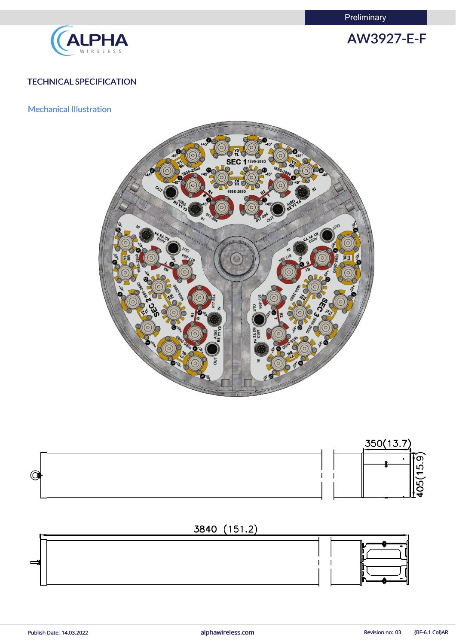**Preliminary** 



AW3927-E-F

# TECHNICAL SPECIFICATION

## Mechanical Illustration



![](_page_3_Figure_6.jpeg)

![](_page_3_Figure_7.jpeg)

![](_page_3_Figure_8.jpeg)